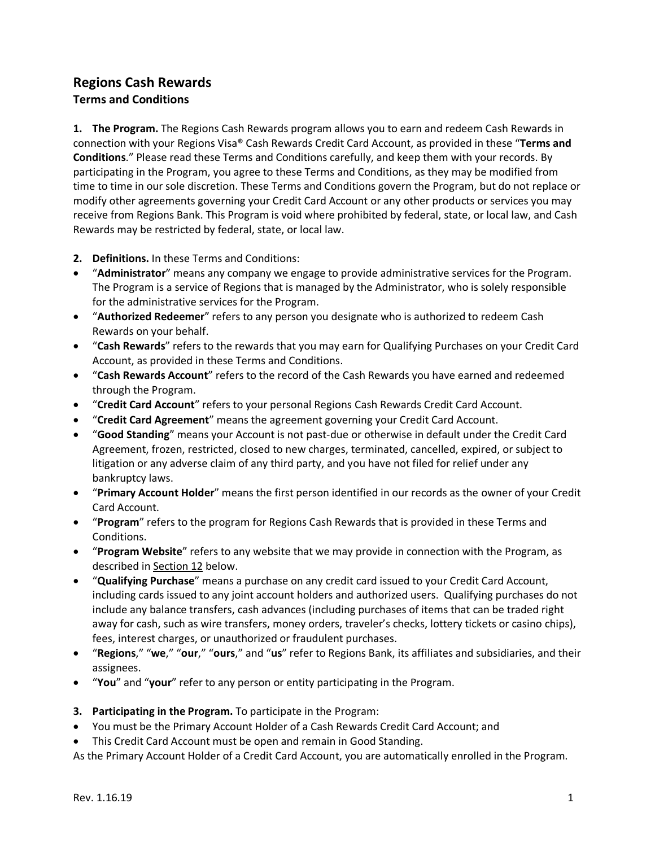## **Regions Cash Rewards Terms and Conditions**

**1. The Program.** The Regions Cash Rewards program allows you to earn and redeem Cash Rewards in connection with your Regions Visa® Cash Rewards Credit Card Account, as provided in these "**Terms and Conditions**." Please read these Terms and Conditions carefully, and keep them with your records. By participating in the Program, you agree to these Terms and Conditions, as they may be modified from time to time in our sole discretion. These Terms and Conditions govern the Program, but do not replace or modify other agreements governing your Credit Card Account or any other products or services you may receive from Regions Bank. This Program is void where prohibited by federal, state, or local law, and Cash Rewards may be restricted by federal, state, or local law.

- **2. Definitions.** In these Terms and Conditions:
- "**Administrator**" means any company we engage to provide administrative services for the Program. The Program is a service of Regions that is managed by the Administrator, who is solely responsible for the administrative services for the Program.
- "**Authorized Redeemer**" refers to any person you designate who is authorized to redeem Cash Rewards on your behalf.
- "**Cash Rewards**" refers to the rewards that you may earn for Qualifying Purchases on your Credit Card Account, as provided in these Terms and Conditions.
- "**Cash Rewards Account**" refers to the record of the Cash Rewards you have earned and redeemed through the Program.
- "**Credit Card Account**" refers to your personal Regions Cash Rewards Credit Card Account.
- "**Credit Card Agreement**" means the agreement governing your Credit Card Account.
- "**Good Standing**" means your Account is not past-due or otherwise in default under the Credit Card Agreement, frozen, restricted, closed to new charges, terminated, cancelled, expired, or subject to litigation or any adverse claim of any third party, and you have not filed for relief under any bankruptcy laws.
- "**Primary Account Holder**" means the first person identified in our records as the owner of your Credit Card Account.
- "**Program**" refers to the program for Regions Cash Rewards that is provided in these Terms and Conditions.
- "**Program Website**" refers to any website that we may provide in connection with the Program, as described in Section 12 below.
- "**Qualifying Purchase**" means a purchase on any credit card issued to your Credit Card Account, including cards issued to any joint account holders and authorized users. Qualifying purchases do not include any balance transfers, cash advances (including purchases of items that can be traded right away for cash, such as wire transfers, money orders, traveler's checks, lottery tickets or casino chips), fees, interest charges, or unauthorized or fraudulent purchases.
- "**Regions**," "**we**," "**our**," "**ours**," and "**us**" refer to Regions Bank, its affiliates and subsidiaries, and their assignees.
- "**You**" and "**your**" refer to any person or entity participating in the Program.
- **3. Participating in the Program.** To participate in the Program:
- You must be the Primary Account Holder of a Cash Rewards Credit Card Account; and
- This Credit Card Account must be open and remain in Good Standing.

As the Primary Account Holder of a Credit Card Account, you are automatically enrolled in the Program.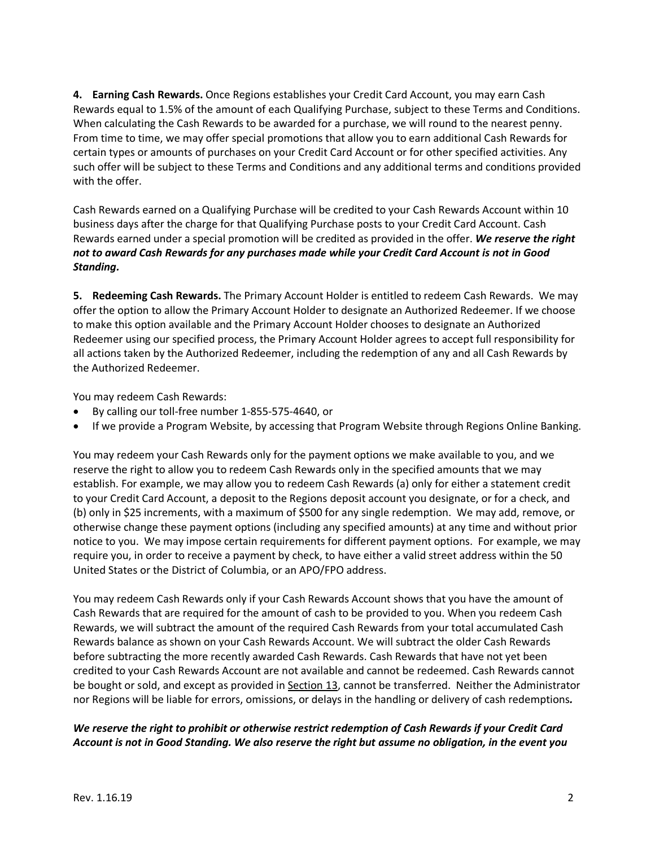**4. Earning Cash Rewards.** Once Regions establishes your Credit Card Account, you may earn Cash Rewards equal to 1.5% of the amount of each Qualifying Purchase, subject to these Terms and Conditions. When calculating the Cash Rewards to be awarded for a purchase, we will round to the nearest penny. From time to time, we may offer special promotions that allow you to earn additional Cash Rewards for certain types or amounts of purchases on your Credit Card Account or for other specified activities. Any such offer will be subject to these Terms and Conditions and any additional terms and conditions provided with the offer.

Cash Rewards earned on a Qualifying Purchase will be credited to your Cash Rewards Account within 10 business days after the charge for that Qualifying Purchase posts to your Credit Card Account. Cash Rewards earned under a special promotion will be credited as provided in the offer. *We reserve the right not to award Cash Rewards for any purchases made while your Credit Card Account is not in Good Standing.*

**5. Redeeming Cash Rewards.** The Primary Account Holder is entitled to redeem Cash Rewards. We may offer the option to allow the Primary Account Holder to designate an Authorized Redeemer. If we choose to make this option available and the Primary Account Holder chooses to designate an Authorized Redeemer using our specified process, the Primary Account Holder agrees to accept full responsibility for all actions taken by the Authorized Redeemer, including the redemption of any and all Cash Rewards by the Authorized Redeemer.

You may redeem Cash Rewards:

- By calling our toll-free number 1-855-575-4640, or
- If we provide a Program Website, by accessing that Program Website through Regions Online Banking.

You may redeem your Cash Rewards only for the payment options we make available to you, and we reserve the right to allow you to redeem Cash Rewards only in the specified amounts that we may establish. For example, we may allow you to redeem Cash Rewards (a) only for either a statement credit to your Credit Card Account, a deposit to the Regions deposit account you designate, or for a check, and (b) only in \$25 increments, with a maximum of \$500 for any single redemption. We may add, remove, or otherwise change these payment options (including any specified amounts) at any time and without prior notice to you. We may impose certain requirements for different payment options. For example, we may require you, in order to receive a payment by check, to have either a valid street address within the 50 United States or the District of Columbia, or an APO/FPO address.

You may redeem Cash Rewards only if your Cash Rewards Account shows that you have the amount of Cash Rewards that are required for the amount of cash to be provided to you. When you redeem Cash Rewards, we will subtract the amount of the required Cash Rewards from your total accumulated Cash Rewards balance as shown on your Cash Rewards Account. We will subtract the older Cash Rewards before subtracting the more recently awarded Cash Rewards. Cash Rewards that have not yet been credited to your Cash Rewards Account are not available and cannot be redeemed. Cash Rewards cannot be bought or sold, and except as provided in Section 13, cannot be transferred. Neither the Administrator nor Regions will be liable for errors, omissions, or delays in the handling or delivery of cash redemptions*.*

## *We reserve the right to prohibit or otherwise restrict redemption of Cash Rewards if your Credit Card Account is not in Good Standing. We also reserve the right but assume no obligation, in the event you*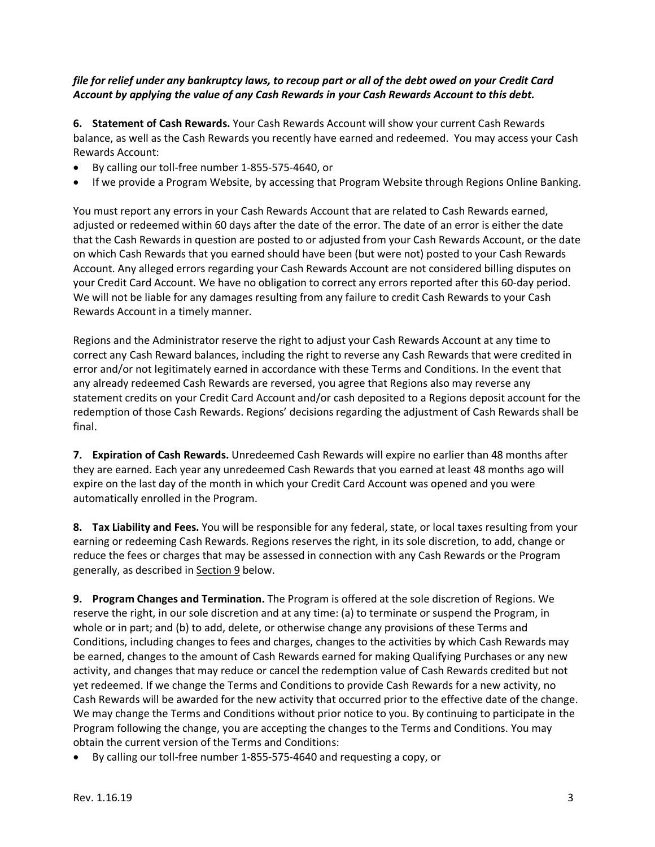## *file for relief under any bankruptcy laws, to recoup part or all of the debt owed on your Credit Card Account by applying the value of any Cash Rewards in your Cash Rewards Account to this debt.*

**6. Statement of Cash Rewards.** Your Cash Rewards Account will show your current Cash Rewards balance, as well as the Cash Rewards you recently have earned and redeemed. You may access your Cash Rewards Account:

- By calling our toll-free number 1-855-575-4640, or
- If we provide a Program Website, by accessing that Program Website through Regions Online Banking.

You must report any errors in your Cash Rewards Account that are related to Cash Rewards earned, adjusted or redeemed within 60 days after the date of the error. The date of an error is either the date that the Cash Rewards in question are posted to or adjusted from your Cash Rewards Account, or the date on which Cash Rewards that you earned should have been (but were not) posted to your Cash Rewards Account. Any alleged errors regarding your Cash Rewards Account are not considered billing disputes on your Credit Card Account. We have no obligation to correct any errors reported after this 60-day period. We will not be liable for any damages resulting from any failure to credit Cash Rewards to your Cash Rewards Account in a timely manner.

Regions and the Administrator reserve the right to adjust your Cash Rewards Account at any time to correct any Cash Reward balances, including the right to reverse any Cash Rewards that were credited in error and/or not legitimately earned in accordance with these Terms and Conditions. In the event that any already redeemed Cash Rewards are reversed, you agree that Regions also may reverse any statement credits on your Credit Card Account and/or cash deposited to a Regions deposit account for the redemption of those Cash Rewards. Regions' decisions regarding the adjustment of Cash Rewards shall be final.

**7. Expiration of Cash Rewards.** Unredeemed Cash Rewards will expire no earlier than 48 months after they are earned. Each year any unredeemed Cash Rewards that you earned at least 48 months ago will expire on the last day of the month in which your Credit Card Account was opened and you were automatically enrolled in the Program.

**8. Tax Liability and Fees.** You will be responsible for any federal, state, or local taxes resulting from your earning or redeeming Cash Rewards. Regions reserves the right, in its sole discretion, to add, change or reduce the fees or charges that may be assessed in connection with any Cash Rewards or the Program generally, as described in Section 9 below.

**9. Program Changes and Termination.** The Program is offered at the sole discretion of Regions. We reserve the right, in our sole discretion and at any time: (a) to terminate or suspend the Program, in whole or in part; and (b) to add, delete, or otherwise change any provisions of these Terms and Conditions, including changes to fees and charges, changes to the activities by which Cash Rewards may be earned, changes to the amount of Cash Rewards earned for making Qualifying Purchases or any new activity, and changes that may reduce or cancel the redemption value of Cash Rewards credited but not yet redeemed. If we change the Terms and Conditions to provide Cash Rewards for a new activity, no Cash Rewards will be awarded for the new activity that occurred prior to the effective date of the change. We may change the Terms and Conditions without prior notice to you. By continuing to participate in the Program following the change, you are accepting the changes to the Terms and Conditions. You may obtain the current version of the Terms and Conditions:

• By calling our toll-free number 1-855-575-4640 and requesting a copy, or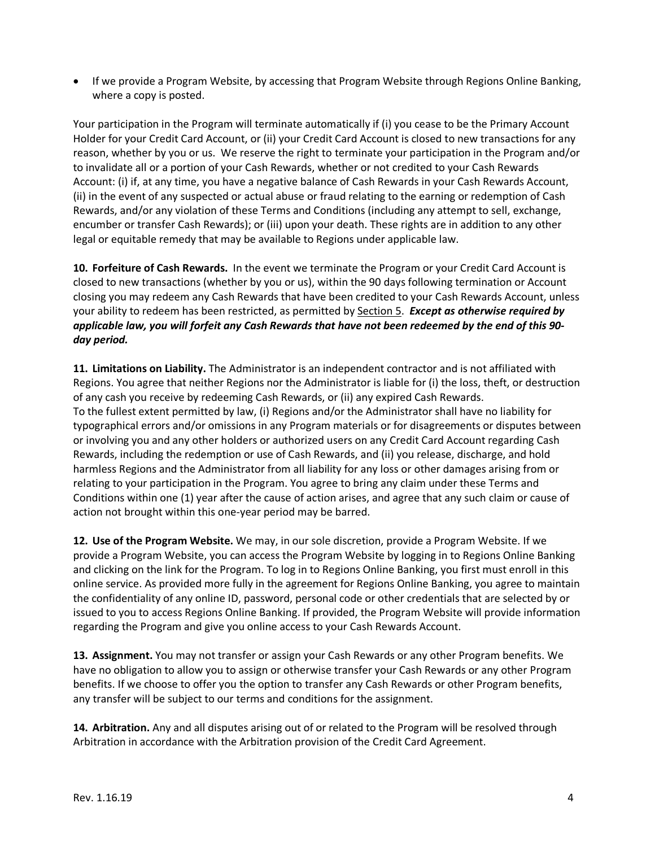• If we provide a Program Website, by accessing that Program Website through Regions Online Banking, where a copy is posted.

Your participation in the Program will terminate automatically if (i) you cease to be the Primary Account Holder for your Credit Card Account, or (ii) your Credit Card Account is closed to new transactions for any reason, whether by you or us. We reserve the right to terminate your participation in the Program and/or to invalidate all or a portion of your Cash Rewards, whether or not credited to your Cash Rewards Account: (i) if, at any time, you have a negative balance of Cash Rewards in your Cash Rewards Account, (ii) in the event of any suspected or actual abuse or fraud relating to the earning or redemption of Cash Rewards, and/or any violation of these Terms and Conditions (including any attempt to sell, exchange, encumber or transfer Cash Rewards); or (iii) upon your death. These rights are in addition to any other legal or equitable remedy that may be available to Regions under applicable law.

**10. Forfeiture of Cash Rewards.** In the event we terminate the Program or your Credit Card Account is closed to new transactions (whether by you or us), within the 90 days following termination or Account closing you may redeem any Cash Rewards that have been credited to your Cash Rewards Account, unless your ability to redeem has been restricted, as permitted by Section 5. *Except as otherwise required by applicable law, you will forfeit any Cash Rewards that have not been redeemed by the end of this 90 day period.* 

**11. Limitations on Liability.** The Administrator is an independent contractor and is not affiliated with Regions. You agree that neither Regions nor the Administrator is liable for (i) the loss, theft, or destruction of any cash you receive by redeeming Cash Rewards, or (ii) any expired Cash Rewards. To the fullest extent permitted by law, (i) Regions and/or the Administrator shall have no liability for typographical errors and/or omissions in any Program materials or for disagreements or disputes between or involving you and any other holders or authorized users on any Credit Card Account regarding Cash Rewards, including the redemption or use of Cash Rewards, and (ii) you release, discharge, and hold harmless Regions and the Administrator from all liability for any loss or other damages arising from or relating to your participation in the Program. You agree to bring any claim under these Terms and Conditions within one (1) year after the cause of action arises, and agree that any such claim or cause of action not brought within this one-year period may be barred.

**12. Use of the Program Website.** We may, in our sole discretion, provide a Program Website. If we provide a Program Website, you can access the Program Website by logging in to Regions Online Banking and clicking on the link for the Program. To log in to Regions Online Banking, you first must enroll in this online service. As provided more fully in the agreement for Regions Online Banking, you agree to maintain the confidentiality of any online ID, password, personal code or other credentials that are selected by or issued to you to access Regions Online Banking. If provided, the Program Website will provide information regarding the Program and give you online access to your Cash Rewards Account.

**13. Assignment.** You may not transfer or assign your Cash Rewards or any other Program benefits. We have no obligation to allow you to assign or otherwise transfer your Cash Rewards or any other Program benefits. If we choose to offer you the option to transfer any Cash Rewards or other Program benefits, any transfer will be subject to our terms and conditions for the assignment.

**14. Arbitration.** Any and all disputes arising out of or related to the Program will be resolved through Arbitration in accordance with the Arbitration provision of the Credit Card Agreement.